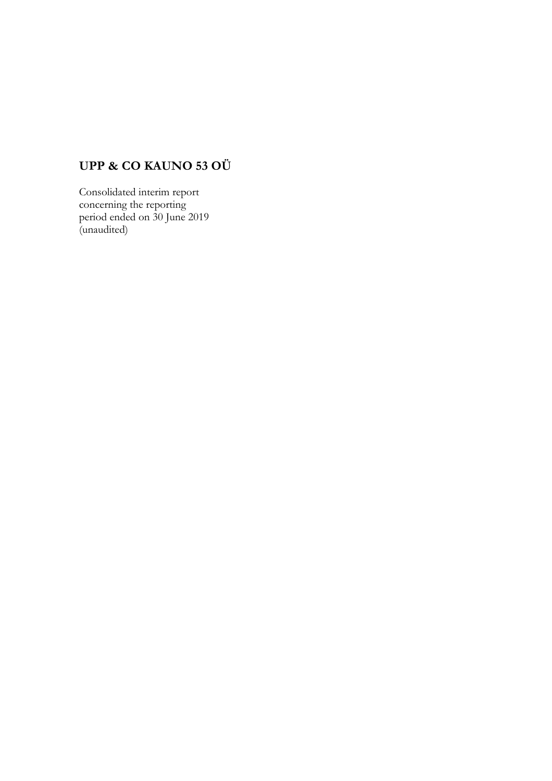# **UPP & CO KAUNO 53 OÜ**

Consolidated interim report concerning the reporting period ended on 30 June 2019 (unaudited)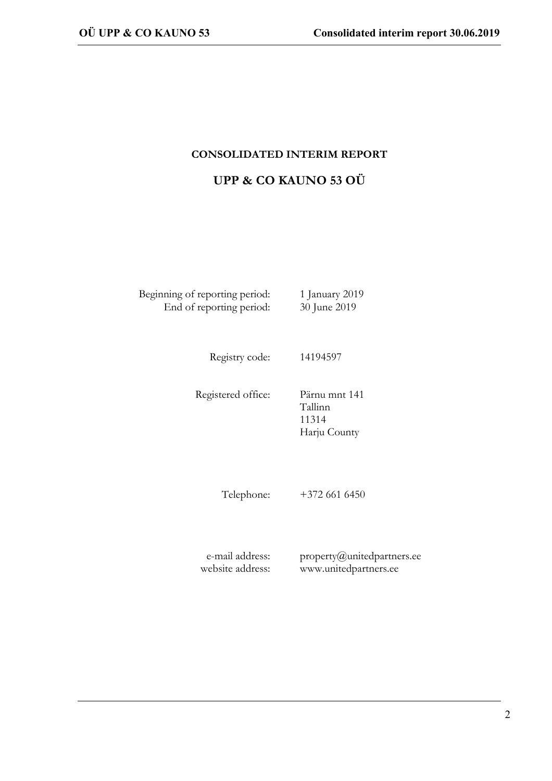## **CONSOLIDATED INTERIM REPORT**

## **UPP & CO KAUNO 53 OÜ**

Beginning of reporting period: 1 January 2019 End of reporting period: 30 June 2019

Registry code: 14194597

Registered office: Pärnu mnt 141

Tallinn 11314 Harju County

Telephone: +372 661 6450

e-mail address: website address:

property@unitedpartners.ee www.unitedpartners.ee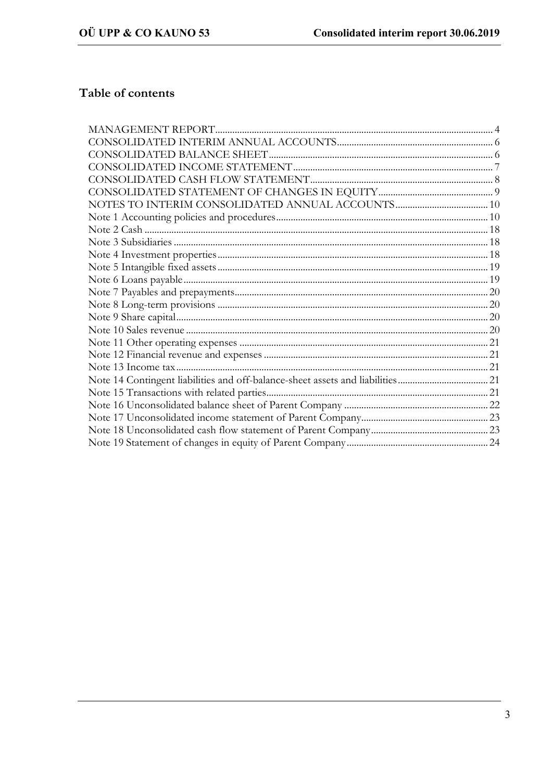## Table of contents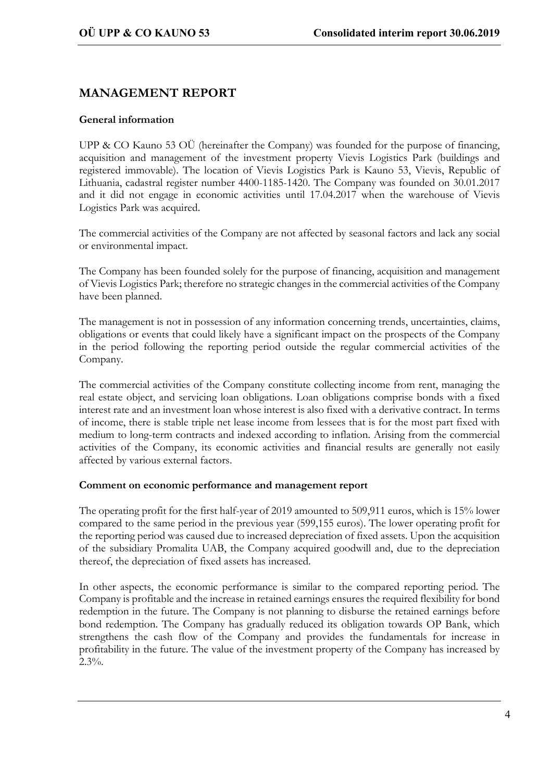## **MANAGEMENT REPORT**

#### **General information**

UPP & CO Kauno 53 OÜ (hereinafter the Company) was founded for the purpose of financing, acquisition and management of the investment property Vievis Logistics Park (buildings and registered immovable). The location of Vievis Logistics Park is Kauno 53, Vievis, Republic of Lithuania, cadastral register number 4400-1185-1420. The Company was founded on 30.01.2017 and it did not engage in economic activities until 17.04.2017 when the warehouse of Vievis Logistics Park was acquired.

The commercial activities of the Company are not affected by seasonal factors and lack any social or environmental impact.

The Company has been founded solely for the purpose of financing, acquisition and management of Vievis Logistics Park; therefore no strategic changes in the commercial activities of the Company have been planned.

The management is not in possession of any information concerning trends, uncertainties, claims, obligations or events that could likely have a significant impact on the prospects of the Company in the period following the reporting period outside the regular commercial activities of the Company.

The commercial activities of the Company constitute collecting income from rent, managing the real estate object, and servicing loan obligations. Loan obligations comprise bonds with a fixed interest rate and an investment loan whose interest is also fixed with a derivative contract. In terms of income, there is stable triple net lease income from lessees that is for the most part fixed with medium to long-term contracts and indexed according to inflation. Arising from the commercial activities of the Company, its economic activities and financial results are generally not easily affected by various external factors.

#### **Comment on economic performance and management report**

The operating profit for the first half-year of 2019 amounted to 509,911 euros, which is 15% lower compared to the same period in the previous year (599,155 euros). The lower operating profit for the reporting period was caused due to increased depreciation of fixed assets. Upon the acquisition of the subsidiary Promalita UAB, the Company acquired goodwill and, due to the depreciation thereof, the depreciation of fixed assets has increased.

In other aspects, the economic performance is similar to the compared reporting period. The Company is profitable and the increase in retained earnings ensures the required flexibility for bond redemption in the future. The Company is not planning to disburse the retained earnings before bond redemption. The Company has gradually reduced its obligation towards OP Bank, which strengthens the cash flow of the Company and provides the fundamentals for increase in profitability in the future. The value of the investment property of the Company has increased by  $2.3\%$ .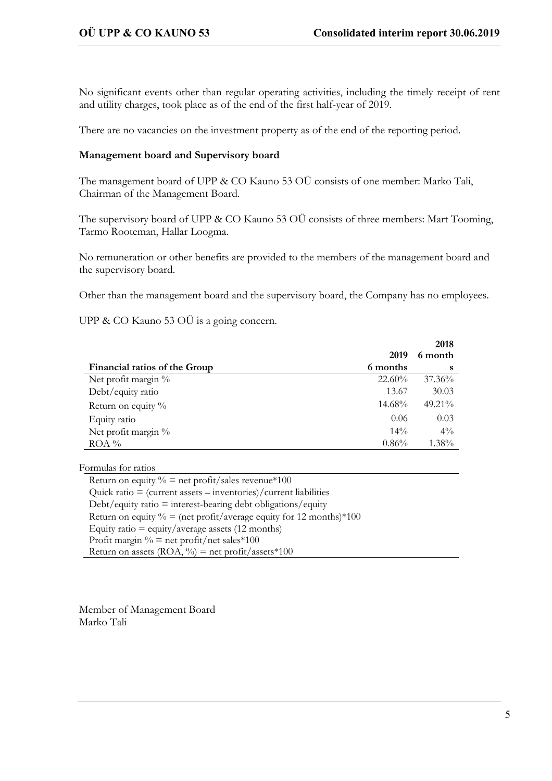No significant events other than regular operating activities, including the timely receipt of rent and utility charges, took place as of the end of the first half-year of 2019.

There are no vacancies on the investment property as of the end of the reporting period.

#### **Management board and Supervisory board**

The management board of UPP & CO Kauno 53 OÜ consists of one member: Marko Tali, Chairman of the Management Board.

The supervisory board of UPP & CO Kauno 53 OÜ consists of three members: Mart Tooming, Tarmo Rooteman, Hallar Loogma.

No remuneration or other benefits are provided to the members of the management board and the supervisory board.

Other than the management board and the supervisory board, the Company has no employees.

UPP & CO Kauno 53 OÜ is a going concern.

|                               |           | 2018      |
|-------------------------------|-----------|-----------|
|                               | 2019      | 6 month   |
| Financial ratios of the Group | 6 months  | s         |
| Net profit margin %           | $22.60\%$ | $37.36\%$ |
| Debt/equity ratio             | 13.67     | 30.03     |
| Return on equity $\%$         | 14.68%    | 49.21%    |
| Equity ratio                  | 0.06      | 0.03      |
| Net profit margin %           | $14\%$    | $4\%$     |
| $ROA \%$                      | 0.86%     | 1.38%     |

Formulas for ratios

| Return on equity $\%$ = net profit/sales revenue*100                                |
|-------------------------------------------------------------------------------------|
| Quick ratio = $(current assets - inventories)/current liabilities$                  |
| $Debt/equity ratio = interest-bearing debt obligations/equity$                      |
| Return on equity $\% = (\text{net profit}/\text{average equity for 12 months})*100$ |
| Equity ratio = equity/average assets $(12$ months)                                  |
| Profit margin $\%$ = net profit/net sales*100                                       |
| Return on assets (ROA, $\%$ ) = net profit/assets*100                               |

Member of Management Board Marko Tali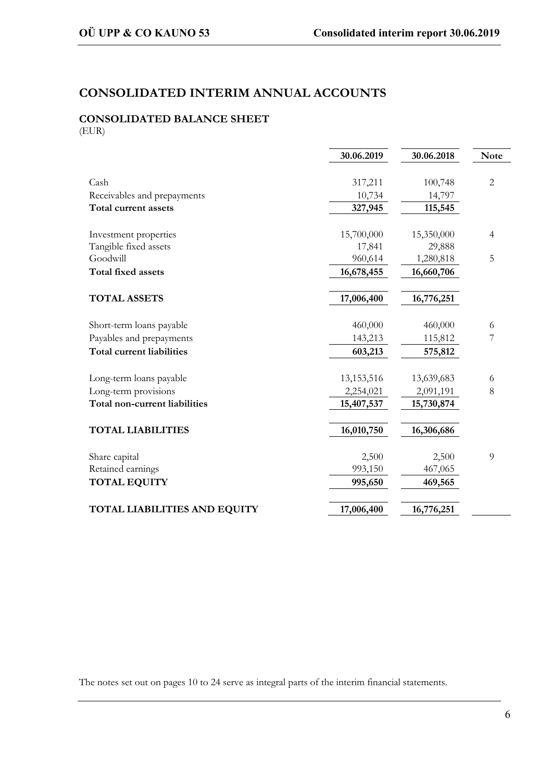## **CONSOLIDATED INTERIM ANNUAL ACCOUNTS**

# **CONSOLIDATED BALANCE SHEET**

(EUR)

|                                  | 30.06.2019   | 30.06.2018 | <b>Note</b>    |
|----------------------------------|--------------|------------|----------------|
|                                  |              |            |                |
| Cash                             | 317,211      | 100,748    | $\overline{2}$ |
| Receivables and prepayments      | 10,734       | 14,797     |                |
| Total current assets             | 327,945      | 115,545    |                |
|                                  |              |            |                |
| Investment properties            | 15,700,000   | 15,350,000 | $\overline{4}$ |
| Tangible fixed assets            | 17,841       | 29,888     |                |
| Goodwill                         | 960,614      | 1,280,818  | 5              |
| <b>Total fixed assets</b>        | 16,678,455   | 16,660,706 |                |
| <b>TOTAL ASSETS</b>              | 17,006,400   | 16,776,251 |                |
|                                  |              |            |                |
| Short-term loans payable         | 460,000      | 460,000    | 6              |
| Payables and prepayments         | 143,213      | 115,812    | 7              |
| <b>Total current liabilities</b> | 603,213      | 575,812    |                |
|                                  |              |            |                |
| Long-term loans payable          | 13, 153, 516 | 13,639,683 | 6              |
| Long-term provisions             | 2,254,021    | 2,091,191  | 8              |
| Total non-current liabilities    | 15,407,537   | 15,730,874 |                |
| <b>TOTAL LIABILITIES</b>         | 16,010,750   | 16,306,686 |                |
| Share capital                    | 2,500        | 2,500      | 9              |
| Retained earnings                | 993,150      | 467,065    |                |
| <b>TOTAL EQUITY</b>              | 995,650      | 469,565    |                |
|                                  |              |            |                |
| TOTAL LIABILITIES AND EQUITY     | 17,006,400   | 16,776,251 |                |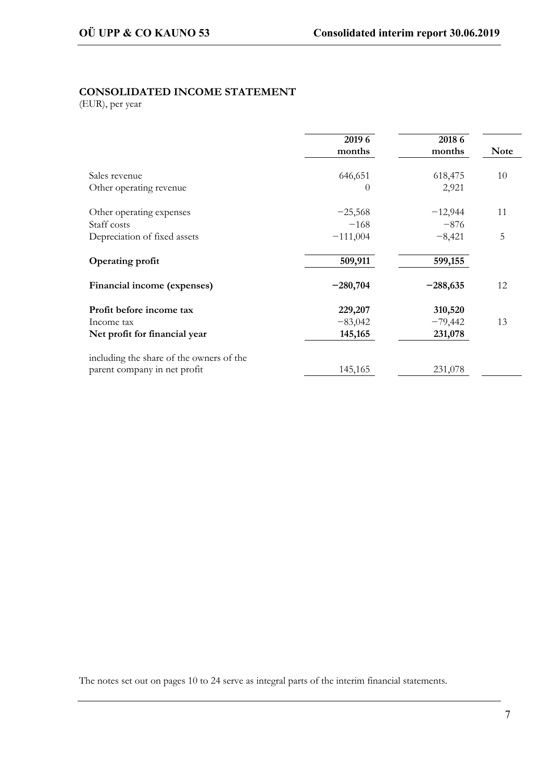#### **CONSOLIDATED INCOME STATEMENT**

(EUR), per year

|                                          | 2019 6<br>months | 2018 6<br>months | <b>Note</b> |
|------------------------------------------|------------------|------------------|-------------|
| Sales revenue                            | 646,651          | 618,475          | 10          |
| Other operating revenue                  | $\left( \right)$ | 2,921            |             |
| Other operating expenses                 | $-25,568$        | $-12,944$        | 11          |
| Staff costs                              | $-168$           | $-876$           |             |
| Depreciation of fixed assets             | $-111,004$       | $-8,421$         | 5           |
| <b>Operating profit</b>                  | 509,911          | 599,155          |             |
| Financial income (expenses)              | $-280,704$       | $-288,635$       | 12          |
| Profit before income tax                 | 229,207          | 310,520          |             |
| Income tax                               | $-83,042$        | $-79,442$        | 13          |
| Net profit for financial year            | 145,165          | 231,078          |             |
| including the share of the owners of the |                  |                  |             |
| parent company in net profit             | 145,165          | 231,078          |             |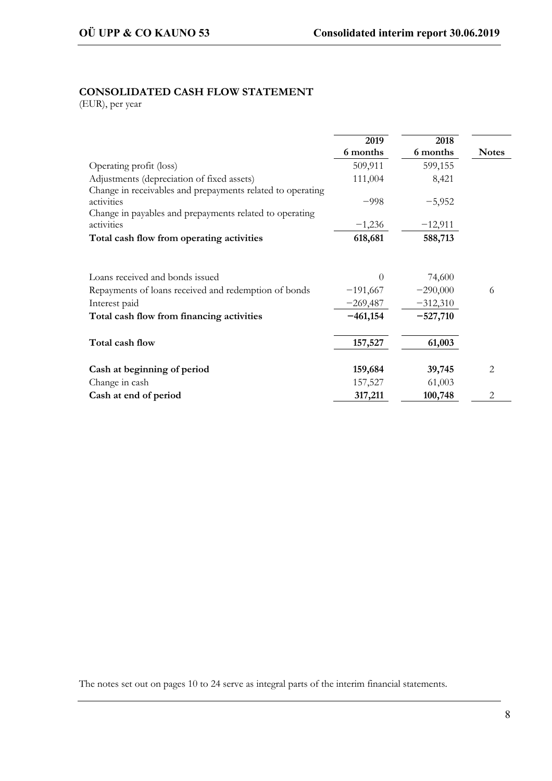## **CONSOLIDATED CASH FLOW STATEMENT**

(EUR), per year

|                                                            | 2019       | 2018       |              |
|------------------------------------------------------------|------------|------------|--------------|
|                                                            | 6 months   | 6 months   | <b>Notes</b> |
| Operating profit (loss)                                    | 509,911    | 599,155    |              |
| Adjustments (depreciation of fixed assets)                 | 111,004    | 8,421      |              |
| Change in receivables and prepayments related to operating |            |            |              |
| activities                                                 | $-998$     | $-5,952$   |              |
| Change in payables and prepayments related to operating    |            |            |              |
| activities                                                 | $-1,236$   | $-12,911$  |              |
| Total cash flow from operating activities                  | 618,681    | 588,713    |              |
| Loans received and bonds issued                            | $\Omega$   | 74,600     |              |
| Repayments of loans received and redemption of bonds       | $-191,667$ | $-290,000$ | 6            |
| Interest paid                                              | $-269,487$ | $-312,310$ |              |
| Total cash flow from financing activities                  | $-461,154$ | $-527,710$ |              |
| Total cash flow                                            | 157,527    | 61,003     |              |
|                                                            |            |            |              |
| Cash at beginning of period                                | 159,684    | 39,745     | 2            |
| Change in cash                                             | 157,527    | 61,003     |              |
| Cash at end of period                                      | 317,211    | 100,748    | 2            |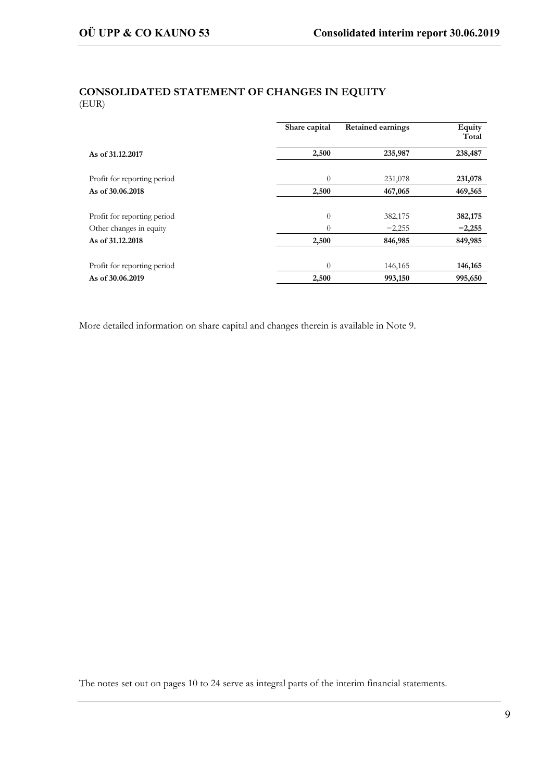## **CONSOLIDATED STATEMENT OF CHANGES IN EQUITY** (EUR)

|                             | Share capital | <b>Retained earnings</b> | Equity<br>Total |
|-----------------------------|---------------|--------------------------|-----------------|
| As of 31,12,2017            | 2,500         | 235,987                  | 238,487         |
| Profit for reporting period | $\Omega$      | 231,078                  | 231,078         |
| As of 30.06.2018            | 2,500         | 467,065                  | 469,565         |
|                             |               |                          |                 |
| Profit for reporting period | $\theta$      | 382,175                  | 382,175         |
| Other changes in equity     | $\theta$      | $-2,255$                 | $-2,255$        |
| As of 31.12.2018            | 2,500         | 846,985                  | 849,985         |
|                             |               |                          |                 |
| Profit for reporting period | $\theta$      | 146,165                  | 146,165         |
| As of 30.06.2019            | 2,500         | 993,150                  | 995,650         |

More detailed information on share capital and changes therein is available in Note 9.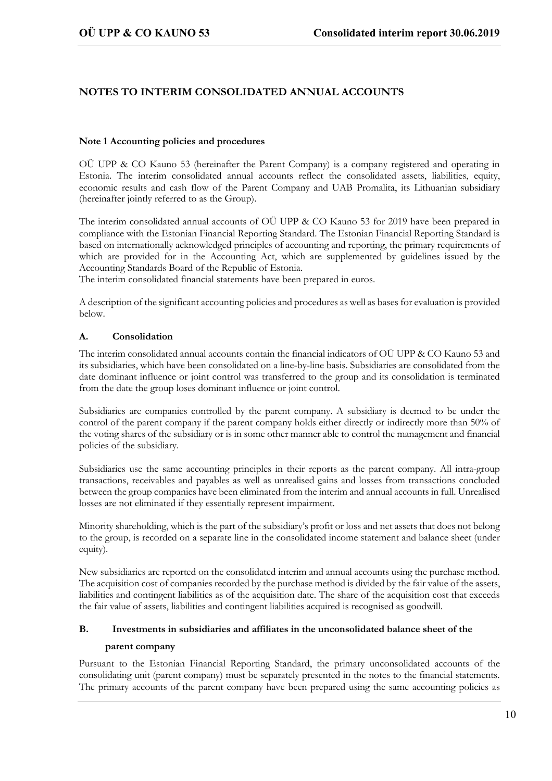## **NOTES TO INTERIM CONSOLIDATED ANNUAL ACCOUNTS**

#### **Note 1 Accounting policies and procedures**

OÜ UPP & CO Kauno 53 (hereinafter the Parent Company) is a company registered and operating in Estonia. The interim consolidated annual accounts reflect the consolidated assets, liabilities, equity, economic results and cash flow of the Parent Company and UAB Promalita, its Lithuanian subsidiary (hereinafter jointly referred to as the Group).

The interim consolidated annual accounts of OÜ UPP & CO Kauno 53 for 2019 have been prepared in compliance with the Estonian Financial Reporting Standard. The Estonian Financial Reporting Standard is based on internationally acknowledged principles of accounting and reporting, the primary requirements of which are provided for in the Accounting Act, which are supplemented by guidelines issued by the Accounting Standards Board of the Republic of Estonia.

The interim consolidated financial statements have been prepared in euros.

A description of the significant accounting policies and procedures as well as bases for evaluation is provided below.

#### **A. Consolidation**

The interim consolidated annual accounts contain the financial indicators of OÜ UPP & CO Kauno 53 and its subsidiaries, which have been consolidated on a line-by-line basis. Subsidiaries are consolidated from the date dominant influence or joint control was transferred to the group and its consolidation is terminated from the date the group loses dominant influence or joint control.

Subsidiaries are companies controlled by the parent company. A subsidiary is deemed to be under the control of the parent company if the parent company holds either directly or indirectly more than 50% of the voting shares of the subsidiary or is in some other manner able to control the management and financial policies of the subsidiary.

Subsidiaries use the same accounting principles in their reports as the parent company. All intra-group transactions, receivables and payables as well as unrealised gains and losses from transactions concluded between the group companies have been eliminated from the interim and annual accounts in full. Unrealised losses are not eliminated if they essentially represent impairment.

Minority shareholding, which is the part of the subsidiary's profit or loss and net assets that does not belong to the group, is recorded on a separate line in the consolidated income statement and balance sheet (under equity).

New subsidiaries are reported on the consolidated interim and annual accounts using the purchase method. The acquisition cost of companies recorded by the purchase method is divided by the fair value of the assets, liabilities and contingent liabilities as of the acquisition date. The share of the acquisition cost that exceeds the fair value of assets, liabilities and contingent liabilities acquired is recognised as goodwill.

#### **B. Investments in subsidiaries and affiliates in the unconsolidated balance sheet of the**

#### **parent company**

Pursuant to the Estonian Financial Reporting Standard, the primary unconsolidated accounts of the consolidating unit (parent company) must be separately presented in the notes to the financial statements. The primary accounts of the parent company have been prepared using the same accounting policies as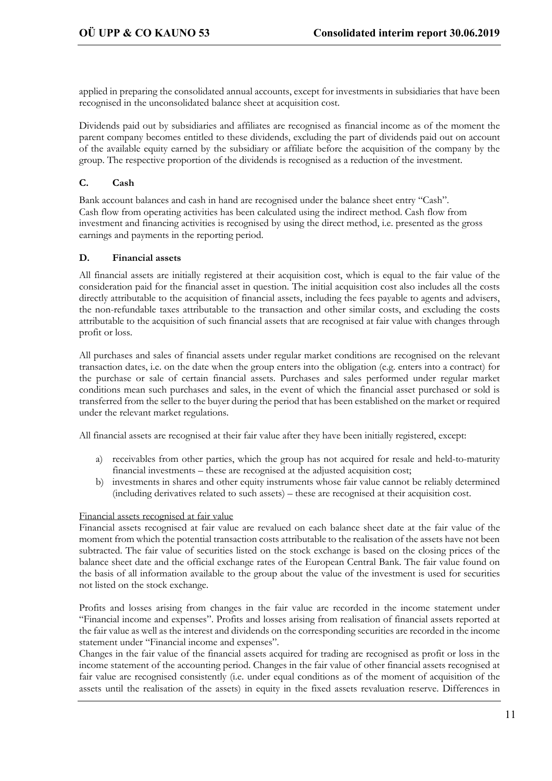applied in preparing the consolidated annual accounts, except for investments in subsidiaries that have been recognised in the unconsolidated balance sheet at acquisition cost.

Dividends paid out by subsidiaries and affiliates are recognised as financial income as of the moment the parent company becomes entitled to these dividends, excluding the part of dividends paid out on account of the available equity earned by the subsidiary or affiliate before the acquisition of the company by the group. The respective proportion of the dividends is recognised as a reduction of the investment.

#### **C. Cash**

Bank account balances and cash in hand are recognised under the balance sheet entry "Cash". Cash flow from operating activities has been calculated using the indirect method. Cash flow from investment and financing activities is recognised by using the direct method, i.e. presented as the gross earnings and payments in the reporting period.

#### **D. Financial assets**

All financial assets are initially registered at their acquisition cost, which is equal to the fair value of the consideration paid for the financial asset in question. The initial acquisition cost also includes all the costs directly attributable to the acquisition of financial assets, including the fees payable to agents and advisers, the non-refundable taxes attributable to the transaction and other similar costs, and excluding the costs attributable to the acquisition of such financial assets that are recognised at fair value with changes through profit or loss.

All purchases and sales of financial assets under regular market conditions are recognised on the relevant transaction dates, i.e. on the date when the group enters into the obligation (e.g. enters into a contract) for the purchase or sale of certain financial assets. Purchases and sales performed under regular market conditions mean such purchases and sales, in the event of which the financial asset purchased or sold is transferred from the seller to the buyer during the period that has been established on the market or required under the relevant market regulations.

All financial assets are recognised at their fair value after they have been initially registered, except:

- a) receivables from other parties, which the group has not acquired for resale and held-to-maturity financial investments – these are recognised at the adjusted acquisition cost;
- b) investments in shares and other equity instruments whose fair value cannot be reliably determined (including derivatives related to such assets) – these are recognised at their acquisition cost.

#### Financial assets recognised at fair value

Financial assets recognised at fair value are revalued on each balance sheet date at the fair value of the moment from which the potential transaction costs attributable to the realisation of the assets have not been subtracted. The fair value of securities listed on the stock exchange is based on the closing prices of the balance sheet date and the official exchange rates of the European Central Bank. The fair value found on the basis of all information available to the group about the value of the investment is used for securities not listed on the stock exchange.

Profits and losses arising from changes in the fair value are recorded in the income statement under "Financial income and expenses". Profits and losses arising from realisation of financial assets reported at the fair value as well as the interest and dividends on the corresponding securities are recorded in the income statement under "Financial income and expenses".

Changes in the fair value of the financial assets acquired for trading are recognised as profit or loss in the income statement of the accounting period. Changes in the fair value of other financial assets recognised at fair value are recognised consistently (i.e. under equal conditions as of the moment of acquisition of the assets until the realisation of the assets) in equity in the fixed assets revaluation reserve. Differences in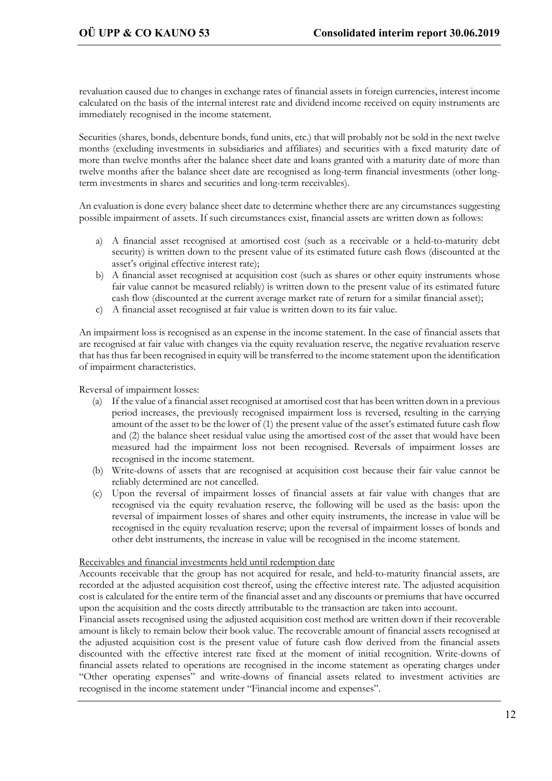revaluation caused due to changes in exchange rates of financial assets in foreign currencies, interest income calculated on the basis of the internal interest rate and dividend income received on equity instruments are immediately recognised in the income statement.

Securities (shares, bonds, debenture bonds, fund units, etc.) that will probably not be sold in the next twelve months (excluding investments in subsidiaries and affiliates) and securities with a fixed maturity date of more than twelve months after the balance sheet date and loans granted with a maturity date of more than twelve months after the balance sheet date are recognised as long-term financial investments (other longterm investments in shares and securities and long-term receivables).

An evaluation is done every balance sheet date to determine whether there are any circumstances suggesting possible impairment of assets. If such circumstances exist, financial assets are written down as follows:

- a) A financial asset recognised at amortised cost (such as a receivable or a held-to-maturity debt security) is written down to the present value of its estimated future cash flows (discounted at the asset's original effective interest rate);
- b) A financial asset recognised at acquisition cost (such as shares or other equity instruments whose fair value cannot be measured reliably) is written down to the present value of its estimated future cash flow (discounted at the current average market rate of return for a similar financial asset);
- c) A financial asset recognised at fair value is written down to its fair value.

An impairment loss is recognised as an expense in the income statement. In the case of financial assets that are recognised at fair value with changes via the equity revaluation reserve, the negative revaluation reserve that has thus far been recognised in equity will be transferred to the income statement upon the identification of impairment characteristics.

Reversal of impairment losses:

- (a) If the value of a financial asset recognised at amortised cost that has been written down in a previous period increases, the previously recognised impairment loss is reversed, resulting in the carrying amount of the asset to be the lower of (1) the present value of the asset's estimated future cash flow and (2) the balance sheet residual value using the amortised cost of the asset that would have been measured had the impairment loss not been recognised. Reversals of impairment losses are recognised in the income statement.
- (b) Write-downs of assets that are recognised at acquisition cost because their fair value cannot be reliably determined are not cancelled.
- (c) Upon the reversal of impairment losses of financial assets at fair value with changes that are recognised via the equity revaluation reserve, the following will be used as the basis: upon the reversal of impairment losses of shares and other equity instruments, the increase in value will be recognised in the equity revaluation reserve; upon the reversal of impairment losses of bonds and other debt instruments, the increase in value will be recognised in the income statement.

#### Receivables and financial investments held until redemption date

Accounts receivable that the group has not acquired for resale, and held-to-maturity financial assets, are recorded at the adjusted acquisition cost thereof, using the effective interest rate. The adjusted acquisition cost is calculated for the entire term of the financial asset and any discounts or premiums that have occurred upon the acquisition and the costs directly attributable to the transaction are taken into account.

Financial assets recognised using the adjusted acquisition cost method are written down if their recoverable amount is likely to remain below their book value. The recoverable amount of financial assets recognised at the adjusted acquisition cost is the present value of future cash flow derived from the financial assets discounted with the effective interest rate fixed at the moment of initial recognition. Write-downs of financial assets related to operations are recognised in the income statement as operating charges under "Other operating expenses" and write-downs of financial assets related to investment activities are recognised in the income statement under "Financial income and expenses".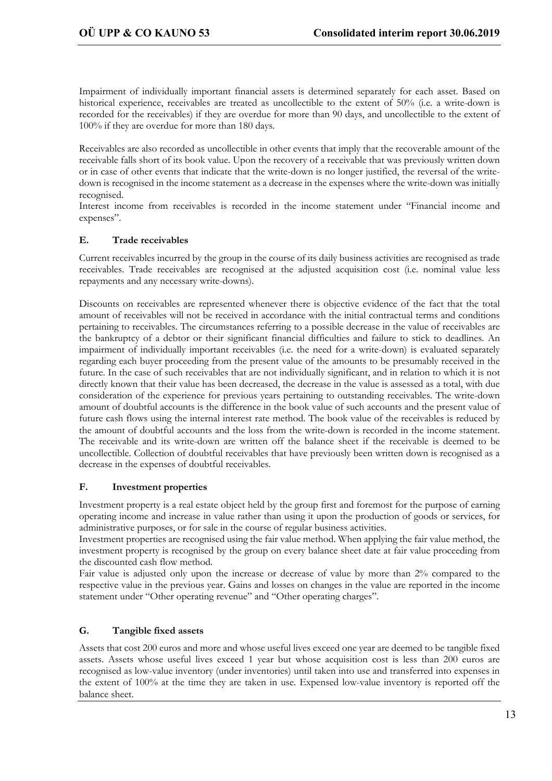Impairment of individually important financial assets is determined separately for each asset. Based on historical experience, receivables are treated as uncollectible to the extent of 50% (i.e. a write-down is recorded for the receivables) if they are overdue for more than 90 days, and uncollectible to the extent of 100% if they are overdue for more than 180 days.

Receivables are also recorded as uncollectible in other events that imply that the recoverable amount of the receivable falls short of its book value. Upon the recovery of a receivable that was previously written down or in case of other events that indicate that the write-down is no longer justified, the reversal of the writedown is recognised in the income statement as a decrease in the expenses where the write-down was initially recognised.

Interest income from receivables is recorded in the income statement under "Financial income and expenses".

#### **E. Trade receivables**

Current receivables incurred by the group in the course of its daily business activities are recognised as trade receivables. Trade receivables are recognised at the adjusted acquisition cost (i.e. nominal value less repayments and any necessary write-downs).

Discounts on receivables are represented whenever there is objective evidence of the fact that the total amount of receivables will not be received in accordance with the initial contractual terms and conditions pertaining to receivables. The circumstances referring to a possible decrease in the value of receivables are the bankruptcy of a debtor or their significant financial difficulties and failure to stick to deadlines. An impairment of individually important receivables (i.e. the need for a write-down) is evaluated separately regarding each buyer proceeding from the present value of the amounts to be presumably received in the future. In the case of such receivables that are not individually significant, and in relation to which it is not directly known that their value has been decreased, the decrease in the value is assessed as a total, with due consideration of the experience for previous years pertaining to outstanding receivables. The write-down amount of doubtful accounts is the difference in the book value of such accounts and the present value of future cash flows using the internal interest rate method. The book value of the receivables is reduced by the amount of doubtful accounts and the loss from the write-down is recorded in the income statement. The receivable and its write-down are written off the balance sheet if the receivable is deemed to be uncollectible. Collection of doubtful receivables that have previously been written down is recognised as a decrease in the expenses of doubtful receivables.

#### **F. Investment properties**

Investment property is a real estate object held by the group first and foremost for the purpose of earning operating income and increase in value rather than using it upon the production of goods or services, for administrative purposes, or for sale in the course of regular business activities.

Investment properties are recognised using the fair value method. When applying the fair value method, the investment property is recognised by the group on every balance sheet date at fair value proceeding from the discounted cash flow method.

Fair value is adjusted only upon the increase or decrease of value by more than 2% compared to the respective value in the previous year. Gains and losses on changes in the value are reported in the income statement under "Other operating revenue" and "Other operating charges".

#### **G. Tangible fixed assets**

Assets that cost 200 euros and more and whose useful lives exceed one year are deemed to be tangible fixed assets. Assets whose useful lives exceed 1 year but whose acquisition cost is less than 200 euros are recognised as low-value inventory (under inventories) until taken into use and transferred into expenses in the extent of 100% at the time they are taken in use. Expensed low-value inventory is reported off the balance sheet.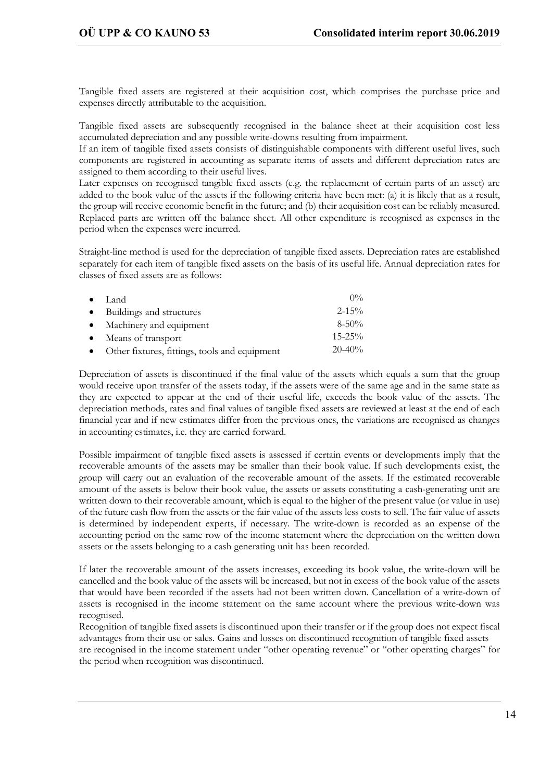Tangible fixed assets are registered at their acquisition cost, which comprises the purchase price and expenses directly attributable to the acquisition.

Tangible fixed assets are subsequently recognised in the balance sheet at their acquisition cost less accumulated depreciation and any possible write-downs resulting from impairment.

If an item of tangible fixed assets consists of distinguishable components with different useful lives, such components are registered in accounting as separate items of assets and different depreciation rates are assigned to them according to their useful lives.

Later expenses on recognised tangible fixed assets (e.g. the replacement of certain parts of an asset) are added to the book value of the assets if the following criteria have been met: (a) it is likely that as a result, the group will receive economic benefit in the future; and (b) their acquisition cost can be reliably measured. Replaced parts are written off the balance sheet. All other expenditure is recognised as expenses in the period when the expenses were incurred.

Straight-line method is used for the depreciation of tangible fixed assets. Depreciation rates are established separately for each item of tangible fixed assets on the basis of its useful life. Annual depreciation rates for classes of fixed assets are as follows:

| $\bullet$ Land                                  | $0\%$       |
|-------------------------------------------------|-------------|
| • Buildings and structures                      | $2 - 15\%$  |
| • Machinery and equipment                       | $8-50\%$    |
| • Means of transport                            | $15 - 25\%$ |
| • Other fixtures, fittings, tools and equipment | $20 - 40\%$ |

Depreciation of assets is discontinued if the final value of the assets which equals a sum that the group would receive upon transfer of the assets today, if the assets were of the same age and in the same state as they are expected to appear at the end of their useful life, exceeds the book value of the assets. The depreciation methods, rates and final values of tangible fixed assets are reviewed at least at the end of each financial year and if new estimates differ from the previous ones, the variations are recognised as changes in accounting estimates, i.e. they are carried forward.

Possible impairment of tangible fixed assets is assessed if certain events or developments imply that the recoverable amounts of the assets may be smaller than their book value. If such developments exist, the group will carry out an evaluation of the recoverable amount of the assets. If the estimated recoverable amount of the assets is below their book value, the assets or assets constituting a cash-generating unit are written down to their recoverable amount, which is equal to the higher of the present value (or value in use) of the future cash flow from the assets or the fair value of the assets less costs to sell. The fair value of assets is determined by independent experts, if necessary. The write-down is recorded as an expense of the accounting period on the same row of the income statement where the depreciation on the written down assets or the assets belonging to a cash generating unit has been recorded.

If later the recoverable amount of the assets increases, exceeding its book value, the write-down will be cancelled and the book value of the assets will be increased, but not in excess of the book value of the assets that would have been recorded if the assets had not been written down. Cancellation of a write-down of assets is recognised in the income statement on the same account where the previous write-down was recognised.

Recognition of tangible fixed assets is discontinued upon their transfer or if the group does not expect fiscal advantages from their use or sales. Gains and losses on discontinued recognition of tangible fixed assets are recognised in the income statement under "other operating revenue" or "other operating charges" for the period when recognition was discontinued.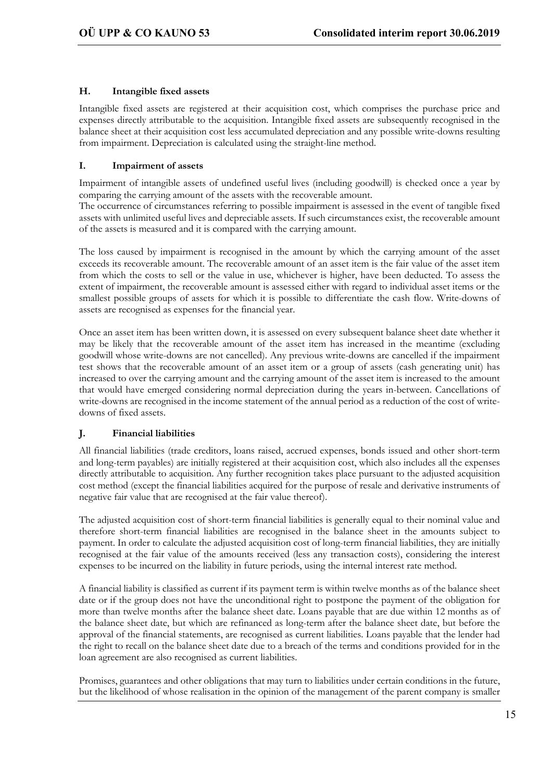#### **H. Intangible fixed assets**

Intangible fixed assets are registered at their acquisition cost, which comprises the purchase price and expenses directly attributable to the acquisition. Intangible fixed assets are subsequently recognised in the balance sheet at their acquisition cost less accumulated depreciation and any possible write-downs resulting from impairment. Depreciation is calculated using the straight-line method.

#### **I. Impairment of assets**

Impairment of intangible assets of undefined useful lives (including goodwill) is checked once a year by comparing the carrying amount of the assets with the recoverable amount.

The occurrence of circumstances referring to possible impairment is assessed in the event of tangible fixed assets with unlimited useful lives and depreciable assets. If such circumstances exist, the recoverable amount of the assets is measured and it is compared with the carrying amount.

The loss caused by impairment is recognised in the amount by which the carrying amount of the asset exceeds its recoverable amount. The recoverable amount of an asset item is the fair value of the asset item from which the costs to sell or the value in use, whichever is higher, have been deducted. To assess the extent of impairment, the recoverable amount is assessed either with regard to individual asset items or the smallest possible groups of assets for which it is possible to differentiate the cash flow. Write-downs of assets are recognised as expenses for the financial year.

Once an asset item has been written down, it is assessed on every subsequent balance sheet date whether it may be likely that the recoverable amount of the asset item has increased in the meantime (excluding goodwill whose write-downs are not cancelled). Any previous write-downs are cancelled if the impairment test shows that the recoverable amount of an asset item or a group of assets (cash generating unit) has increased to over the carrying amount and the carrying amount of the asset item is increased to the amount that would have emerged considering normal depreciation during the years in-between. Cancellations of write-downs are recognised in the income statement of the annual period as a reduction of the cost of writedowns of fixed assets.

#### **J. Financial liabilities**

All financial liabilities (trade creditors, loans raised, accrued expenses, bonds issued and other short-term and long-term payables) are initially registered at their acquisition cost, which also includes all the expenses directly attributable to acquisition. Any further recognition takes place pursuant to the adjusted acquisition cost method (except the financial liabilities acquired for the purpose of resale and derivative instruments of negative fair value that are recognised at the fair value thereof).

The adjusted acquisition cost of short-term financial liabilities is generally equal to their nominal value and therefore short-term financial liabilities are recognised in the balance sheet in the amounts subject to payment. In order to calculate the adjusted acquisition cost of long-term financial liabilities, they are initially recognised at the fair value of the amounts received (less any transaction costs), considering the interest expenses to be incurred on the liability in future periods, using the internal interest rate method.

A financial liability is classified as current if its payment term is within twelve months as of the balance sheet date or if the group does not have the unconditional right to postpone the payment of the obligation for more than twelve months after the balance sheet date. Loans payable that are due within 12 months as of the balance sheet date, but which are refinanced as long-term after the balance sheet date, but before the approval of the financial statements, are recognised as current liabilities. Loans payable that the lender had the right to recall on the balance sheet date due to a breach of the terms and conditions provided for in the loan agreement are also recognised as current liabilities.

Promises, guarantees and other obligations that may turn to liabilities under certain conditions in the future, but the likelihood of whose realisation in the opinion of the management of the parent company is smaller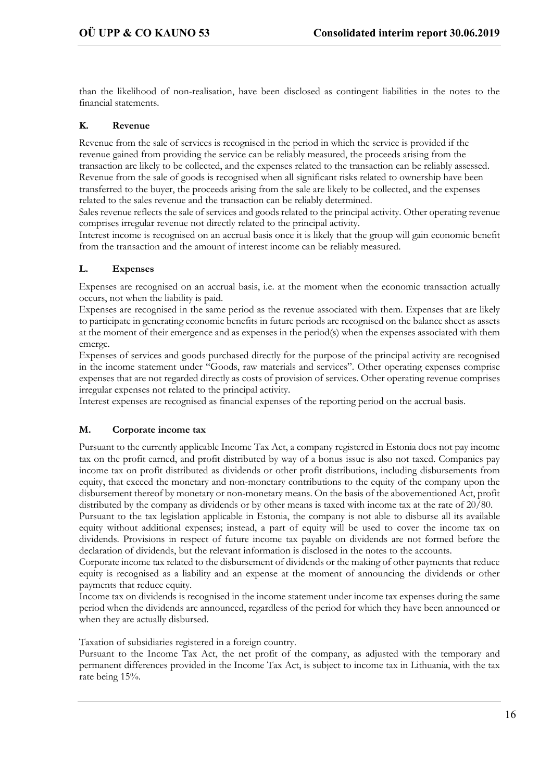than the likelihood of non-realisation, have been disclosed as contingent liabilities in the notes to the financial statements.

#### **K. Revenue**

Revenue from the sale of services is recognised in the period in which the service is provided if the revenue gained from providing the service can be reliably measured, the proceeds arising from the transaction are likely to be collected, and the expenses related to the transaction can be reliably assessed. Revenue from the sale of goods is recognised when all significant risks related to ownership have been transferred to the buyer, the proceeds arising from the sale are likely to be collected, and the expenses related to the sales revenue and the transaction can be reliably determined.

Sales revenue reflects the sale of services and goods related to the principal activity. Other operating revenue comprises irregular revenue not directly related to the principal activity.

Interest income is recognised on an accrual basis once it is likely that the group will gain economic benefit from the transaction and the amount of interest income can be reliably measured.

#### **L. Expenses**

Expenses are recognised on an accrual basis, i.e. at the moment when the economic transaction actually occurs, not when the liability is paid.

Expenses are recognised in the same period as the revenue associated with them. Expenses that are likely to participate in generating economic benefits in future periods are recognised on the balance sheet as assets at the moment of their emergence and as expenses in the period(s) when the expenses associated with them emerge.

Expenses of services and goods purchased directly for the purpose of the principal activity are recognised in the income statement under "Goods, raw materials and services". Other operating expenses comprise expenses that are not regarded directly as costs of provision of services. Other operating revenue comprises irregular expenses not related to the principal activity.

Interest expenses are recognised as financial expenses of the reporting period on the accrual basis.

#### **M. Corporate income tax**

Pursuant to the currently applicable Income Tax Act, a company registered in Estonia does not pay income tax on the profit earned, and profit distributed by way of a bonus issue is also not taxed. Companies pay income tax on profit distributed as dividends or other profit distributions, including disbursements from equity, that exceed the monetary and non-monetary contributions to the equity of the company upon the disbursement thereof by monetary or non-monetary means. On the basis of the abovementioned Act, profit distributed by the company as dividends or by other means is taxed with income tax at the rate of 20/80.

Pursuant to the tax legislation applicable in Estonia, the company is not able to disburse all its available equity without additional expenses; instead, a part of equity will be used to cover the income tax on dividends. Provisions in respect of future income tax payable on dividends are not formed before the declaration of dividends, but the relevant information is disclosed in the notes to the accounts.

Corporate income tax related to the disbursement of dividends or the making of other payments that reduce equity is recognised as a liability and an expense at the moment of announcing the dividends or other payments that reduce equity.

Income tax on dividends is recognised in the income statement under income tax expenses during the same period when the dividends are announced, regardless of the period for which they have been announced or when they are actually disbursed.

Taxation of subsidiaries registered in a foreign country.

Pursuant to the Income Tax Act, the net profit of the company, as adjusted with the temporary and permanent differences provided in the Income Tax Act, is subject to income tax in Lithuania, with the tax rate being 15%.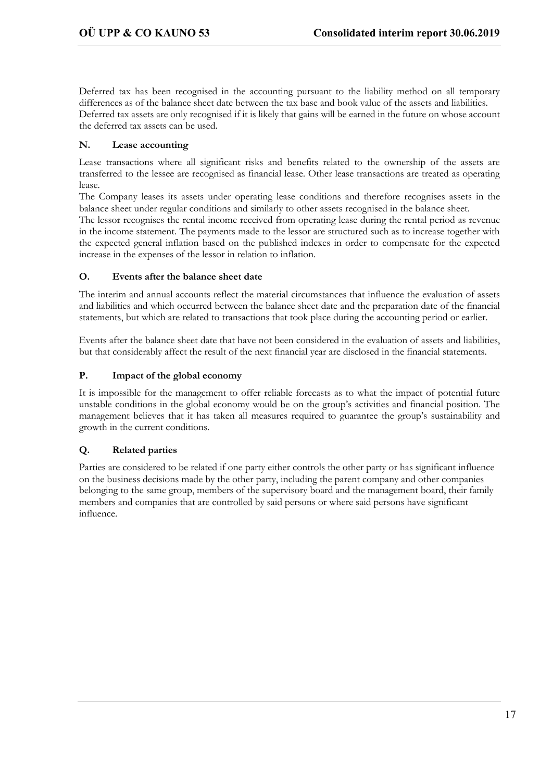Deferred tax has been recognised in the accounting pursuant to the liability method on all temporary differences as of the balance sheet date between the tax base and book value of the assets and liabilities. Deferred tax assets are only recognised if it is likely that gains will be earned in the future on whose account the deferred tax assets can be used.

#### **N. Lease accounting**

Lease transactions where all significant risks and benefits related to the ownership of the assets are transferred to the lessee are recognised as financial lease. Other lease transactions are treated as operating lease.

The Company leases its assets under operating lease conditions and therefore recognises assets in the balance sheet under regular conditions and similarly to other assets recognised in the balance sheet.

The lessor recognises the rental income received from operating lease during the rental period as revenue in the income statement. The payments made to the lessor are structured such as to increase together with the expected general inflation based on the published indexes in order to compensate for the expected increase in the expenses of the lessor in relation to inflation.

#### **O. Events after the balance sheet date**

The interim and annual accounts reflect the material circumstances that influence the evaluation of assets and liabilities and which occurred between the balance sheet date and the preparation date of the financial statements, but which are related to transactions that took place during the accounting period or earlier.

Events after the balance sheet date that have not been considered in the evaluation of assets and liabilities, but that considerably affect the result of the next financial year are disclosed in the financial statements.

#### **P. Impact of the global economy**

It is impossible for the management to offer reliable forecasts as to what the impact of potential future unstable conditions in the global economy would be on the group's activities and financial position. The management believes that it has taken all measures required to guarantee the group's sustainability and growth in the current conditions.

## **Q. Related parties**

Parties are considered to be related if one party either controls the other party or has significant influence on the business decisions made by the other party, including the parent company and other companies belonging to the same group, members of the supervisory board and the management board, their family members and companies that are controlled by said persons or where said persons have significant influence.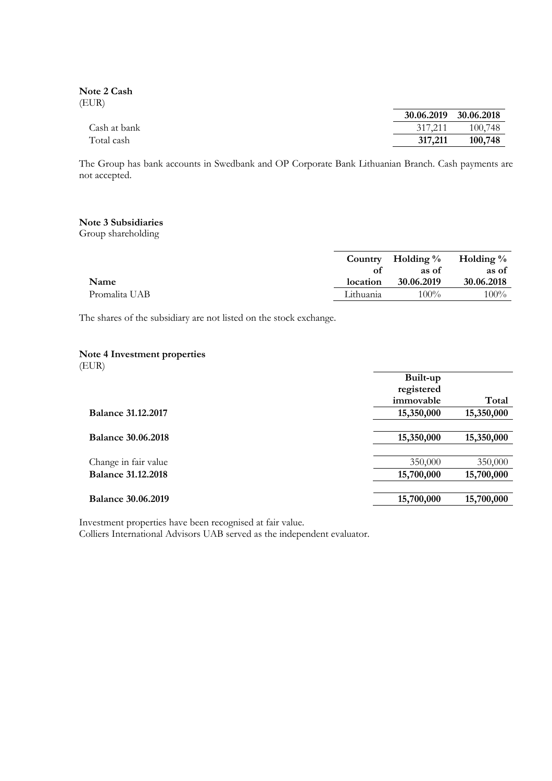**Note 2 Cash** (EUR)

|              |         | 30.06.2019 30.06.2018 |
|--------------|---------|-----------------------|
| Cash at bank | 317.211 | 100.748               |
| Total cash   | 317,211 | 100,748               |

The Group has bank accounts in Swedbank and OP Corporate Bank Lithuanian Branch. Cash payments are not accepted.

#### **Note 3 Subsidiaries**

Group shareholding

|               |           | Country Holding $\%$ Holding $\%$ |            |
|---------------|-----------|-----------------------------------|------------|
|               | оf        | as of                             | as of      |
| Name          | location  | 30.06.2019                        | 30.06.2018 |
| Promalita UAB | Lithuania | $100\%$                           | $100\%$    |
|               |           |                                   |            |

The shares of the subsidiary are not listed on the stock exchange.

#### **Note 4 Investment properties**

(EUR)

|                           | Built-up   |            |
|---------------------------|------------|------------|
|                           | registered |            |
|                           | immovable  | Total      |
| <b>Balance 31.12.2017</b> | 15,350,000 | 15,350,000 |
|                           |            |            |
| <b>Balance 30.06.2018</b> | 15,350,000 | 15,350,000 |
|                           |            |            |
| Change in fair value      | 350,000    | 350,000    |
| <b>Balance 31.12.2018</b> | 15,700,000 | 15,700,000 |
|                           |            |            |
| <b>Balance 30.06.2019</b> | 15,700,000 | 15,700,000 |
|                           |            |            |

Investment properties have been recognised at fair value.

Colliers International Advisors UAB served as the independent evaluator.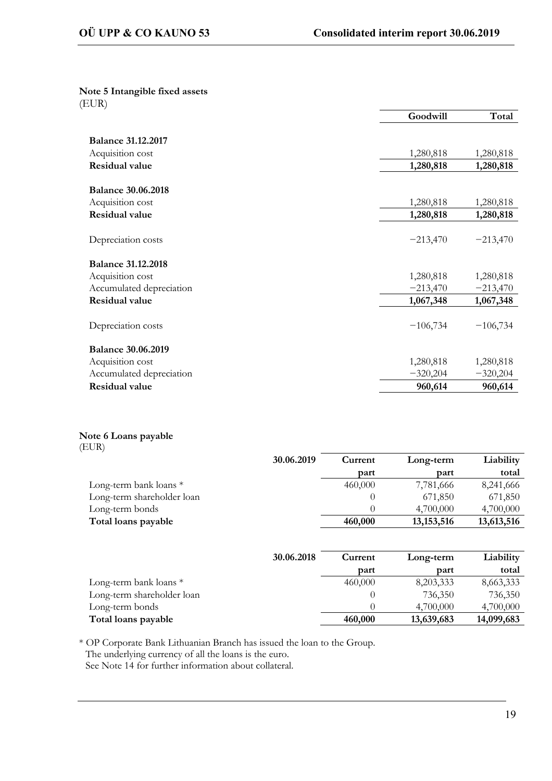#### **Note 5 Intangible fixed assets** (EUR)

|                           | Goodwill   | Total      |
|---------------------------|------------|------------|
|                           |            |            |
| <b>Balance 31.12.2017</b> |            |            |
| Acquisition cost          | 1,280,818  | 1,280,818  |
| Residual value            | 1,280,818  | 1,280,818  |
| <b>Balance 30.06.2018</b> |            |            |
| Acquisition cost          | 1,280,818  | 1,280,818  |
| Residual value            | 1,280,818  | 1,280,818  |
| Depreciation costs        | $-213,470$ | $-213,470$ |
| <b>Balance 31.12.2018</b> |            |            |
| Acquisition cost          | 1,280,818  | 1,280,818  |
| Accumulated depreciation  | $-213,470$ | $-213,470$ |
| Residual value            | 1,067,348  | 1,067,348  |
| Depreciation costs        | $-106,734$ | $-106,734$ |
| <b>Balance 30.06.2019</b> |            |            |
| Acquisition cost          | 1,280,818  | 1,280,818  |
| Accumulated depreciation  | $-320,204$ | $-320,204$ |
| Residual value            | 960,614    | 960,614    |

## **Note 6 Loans payable**

| (EUR)                      |            |         |              |            |
|----------------------------|------------|---------|--------------|------------|
|                            | 30.06.2019 | Current | Long-term    | Liability  |
|                            |            | part    | part         | total      |
| Long-term bank loans *     |            | 460,000 | 7,781,666    | 8,241,666  |
| Long-term shareholder loan |            |         | 671,850      | 671,850    |
| Long-term bonds            |            |         | 4,700,000    | 4,700,000  |
| Total loans payable        |            | 460,000 | 13, 153, 516 | 13,613,516 |

|                            | 30.06.2018 | Current | Long-term  | Liability  |
|----------------------------|------------|---------|------------|------------|
|                            |            | part    | part       | total      |
| Long-term bank loans $*$   |            | 460,000 | 8,203,333  | 8,663,333  |
| Long-term shareholder loan |            |         | 736,350    | 736,350    |
| Long-term bonds            |            |         | 4,700,000  | 4,700,000  |
| Total loans payable        |            | 460,000 | 13,639,683 | 14,099,683 |

\* OP Corporate Bank Lithuanian Branch has issued the loan to the Group. The underlying currency of all the loans is the euro.

See Note 14 for further information about collateral.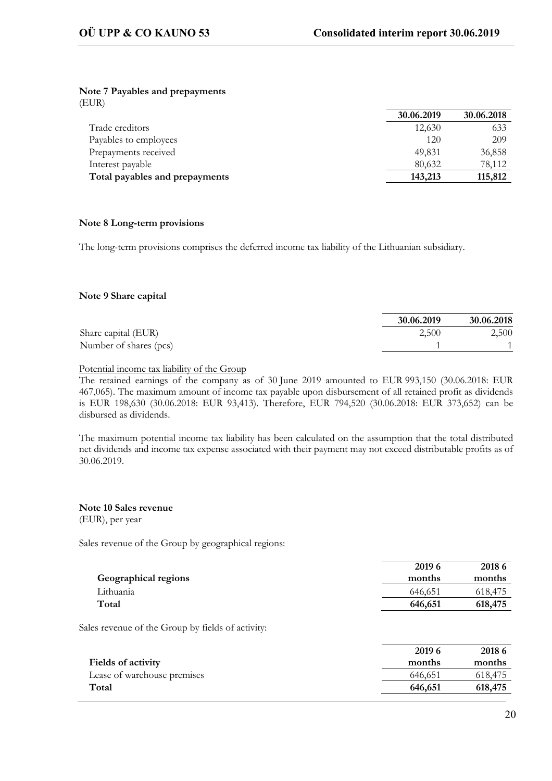#### **Note 7 Payables and prepayments**

(EUR)

|                                | 30.06.2019 | 30.06.2018 |
|--------------------------------|------------|------------|
| Trade creditors                | 12,630     | 633        |
| Payables to employees          | 120        | 209        |
| Prepayments received           | 49,831     | 36,858     |
| Interest payable               | 80.632     | 78.112     |
| Total payables and prepayments | 143,213    | 115,812    |

#### **Note 8 Long-term provisions**

The long-term provisions comprises the deferred income tax liability of the Lithuanian subsidiary.

#### **Note 9 Share capital**

|                        | 30.06.2019 | 30.06.2018 |
|------------------------|------------|------------|
| Share capital (EUR)    | 2,500      | 2,500      |
| Number of shares (pcs) |            |            |

#### Potential income tax liability of the Group

The retained earnings of the company as of 30 June 2019 amounted to EUR 993,150 (30.06.2018: EUR 467,065). The maximum amount of income tax payable upon disbursement of all retained profit as dividends is EUR 198,630 (30.06.2018: EUR 93,413). Therefore, EUR 794,520 (30.06.2018: EUR 373,652) can be disbursed as dividends.

The maximum potential income tax liability has been calculated on the assumption that the total distributed net dividends and income tax expense associated with their payment may not exceed distributable profits as of 30.06.2019.

#### **Note 10 Sales revenue** (EUR), per year

Sales revenue of the Group by geographical regions:

|                      | 2019 6  | 2018 6  |
|----------------------|---------|---------|
| Geographical regions | months  | months  |
| Lithuania            | 646,651 | 618.475 |
| Total                | 646,651 | 618,475 |
|                      |         |         |

Sales revenue of the Group by fields of activity:

|                             | 2019 6  | 2018 6  |
|-----------------------------|---------|---------|
| Fields of activity          | months  | months  |
| Lease of warehouse premises | 646,651 | 618.475 |
| Total                       | 646,651 | 618,475 |
|                             |         |         |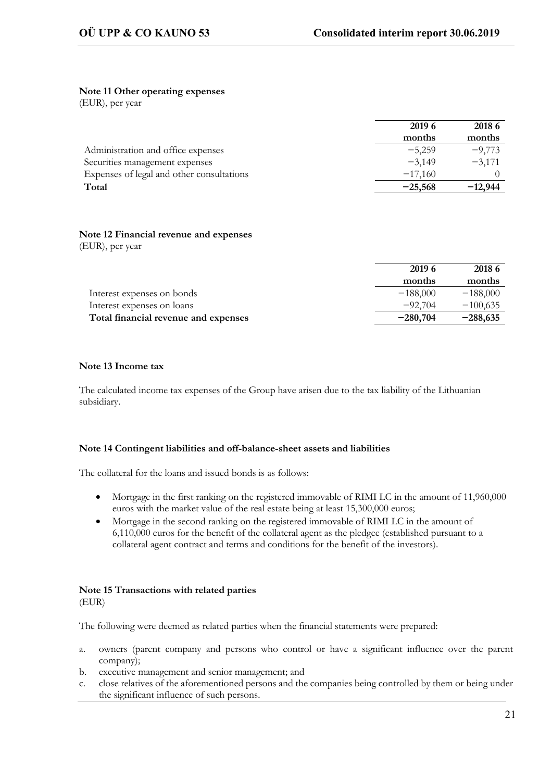#### **Note 11 Other operating expenses**

(EUR), per year

|                                           | 2019 6    | 2018 6    |
|-------------------------------------------|-----------|-----------|
|                                           | months    | months    |
| Administration and office expenses        | $-5,259$  | $-9,773$  |
| Securities management expenses            | $-3.149$  | $-3.171$  |
| Expenses of legal and other consultations | $-17,160$ |           |
| Total                                     | $-25,568$ | $-12.944$ |

#### **Note 12 Financial revenue and expenses** (EUR), per year

|                                      | 2019 6     | 2018 6     |
|--------------------------------------|------------|------------|
|                                      | months     | months     |
| Interest expenses on bonds           | $-188,000$ | $-188,000$ |
| Interest expenses on loans           | $-92.704$  | $-100,635$ |
| Total financial revenue and expenses | $-280,704$ | $-288,635$ |

#### **Note 13 Income tax**

The calculated income tax expenses of the Group have arisen due to the tax liability of the Lithuanian subsidiary.

#### **Note 14 Contingent liabilities and off-balance-sheet assets and liabilities**

The collateral for the loans and issued bonds is as follows:

- Mortgage in the first ranking on the registered immovable of RIMI LC in the amount of 11,960,000 euros with the market value of the real estate being at least 15,300,000 euros;
- Mortgage in the second ranking on the registered immovable of RIMI LC in the amount of 6,110,000 euros for the benefit of the collateral agent as the pledgee (established pursuant to a collateral agent contract and terms and conditions for the benefit of the investors).

#### **Note 15 Transactions with related parties** (EUR)

The following were deemed as related parties when the financial statements were prepared:

- a. owners (parent company and persons who control or have a significant influence over the parent company);
- b. executive management and senior management; and
- c. close relatives of the aforementioned persons and the companies being controlled by them or being under the significant influence of such persons.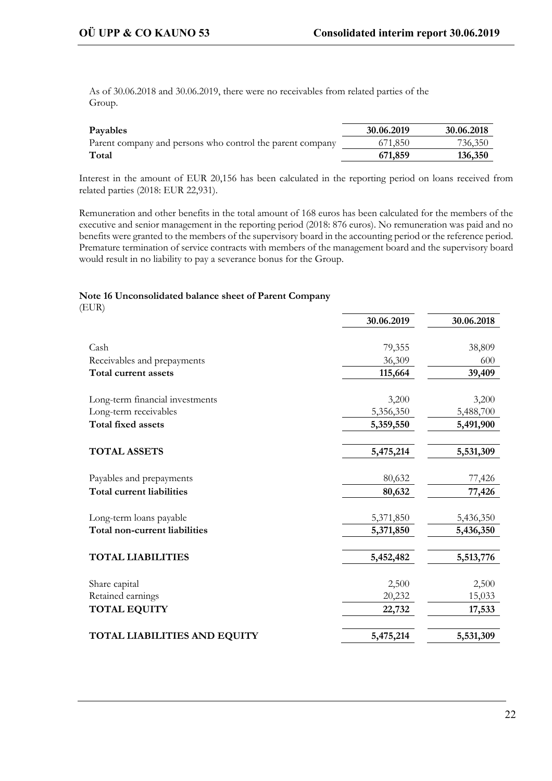As of 30.06.2018 and 30.06.2019, there were no receivables from related parties of the Group.

| Payables                                                  | 30.06.2019 | 30.06.2018 |
|-----------------------------------------------------------|------------|------------|
| Parent company and persons who control the parent company | 671,850    | 736,350    |
| Total                                                     | 671,859    | 136,350    |

Interest in the amount of EUR 20,156 has been calculated in the reporting period on loans received from related parties (2018: EUR 22,931).

Remuneration and other benefits in the total amount of 168 euros has been calculated for the members of the executive and senior management in the reporting period (2018: 876 euros). No remuneration was paid and no benefits were granted to the members of the supervisory board in the accounting period or the reference period. Premature termination of service contracts with members of the management board and the supervisory board would result in no liability to pay a severance bonus for the Group.

#### **Note 16 Unconsolidated balance sheet of Parent Company**

(EUR)

|                                     | 30.06.2019 | 30.06.2018 |
|-------------------------------------|------------|------------|
|                                     |            |            |
| Cash                                | 79,355     | 38,809     |
| Receivables and prepayments         | 36,309     | 600        |
| Total current assets                | 115,664    | 39,409     |
| Long-term financial investments     | 3,200      | 3,200      |
| Long-term receivables               | 5,356,350  | 5,488,700  |
| <b>Total fixed assets</b>           | 5,359,550  | 5,491,900  |
| <b>TOTAL ASSETS</b>                 | 5,475,214  | 5,531,309  |
| Payables and prepayments            | 80,632     | 77,426     |
| <b>Total current liabilities</b>    | 80,632     | 77,426     |
| Long-term loans payable             | 5,371,850  | 5,436,350  |
| Total non-current liabilities       | 5,371,850  | 5,436,350  |
| <b>TOTAL LIABILITIES</b>            | 5,452,482  | 5,513,776  |
| Share capital                       | 2,500      | 2,500      |
| Retained earnings                   | 20,232     | 15,033     |
| <b>TOTAL EQUITY</b>                 | 22,732     | 17,533     |
| <b>TOTAL LIABILITIES AND EQUITY</b> | 5,475,214  | 5,531,309  |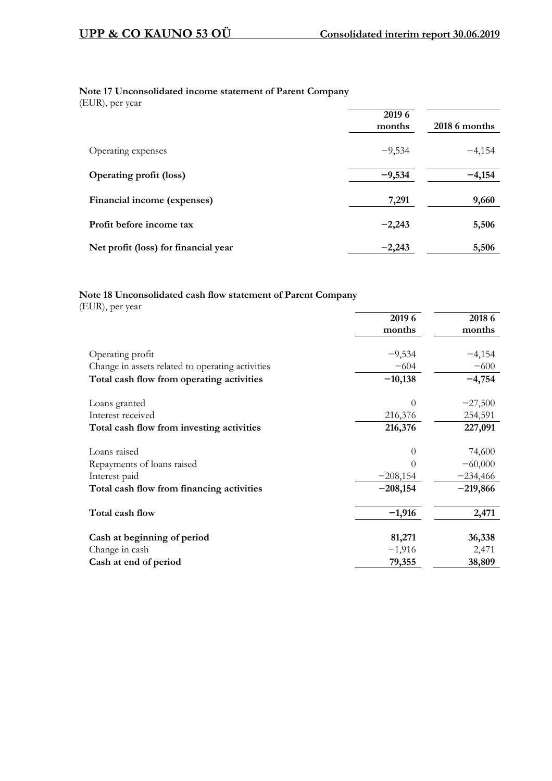## **Note 17 Unconsolidated income statement of Parent Company**

(EUR), per year

| $\sqrt{1}$                           | 2019 6<br>months | 2018 6 months |
|--------------------------------------|------------------|---------------|
| Operating expenses                   | $-9,534$         | $-4,154$      |
| <b>Operating profit (loss)</b>       | $-9,534$         | $-4,154$      |
| Financial income (expenses)          | 7,291            | 9,660         |
| Profit before income tax             | $-2,243$         | 5,506         |
| Net profit (loss) for financial year | $-2,243$         | 5,506         |

## **Note 18 Unconsolidated cash flow statement of Parent Company**

(EUR), per year

|                                                  | 2019 6     | 2018 6     |
|--------------------------------------------------|------------|------------|
|                                                  | months     | months     |
|                                                  |            |            |
| Operating profit                                 | $-9,534$   | $-4,154$   |
| Change in assets related to operating activities | $-604$     | $-600$     |
| Total cash flow from operating activities        | $-10,138$  | $-4,754$   |
| Loans granted                                    | $\Omega$   | $-27,500$  |
| Interest received                                | 216,376    | 254,591    |
| Total cash flow from investing activities        | 216,376    | 227,091    |
| Loans raised                                     | 0          | 74,600     |
| Repayments of loans raised                       |            | $-60,000$  |
| Interest paid                                    | $-208,154$ | $-234,466$ |
| Total cash flow from financing activities        | $-208,154$ | $-219,866$ |
| Total cash flow                                  | $-1,916$   | 2,471      |
| Cash at beginning of period                      | 81,271     | 36,338     |
| Change in cash                                   | $-1,916$   | 2,471      |
| Cash at end of period                            | 79,355     | 38,809     |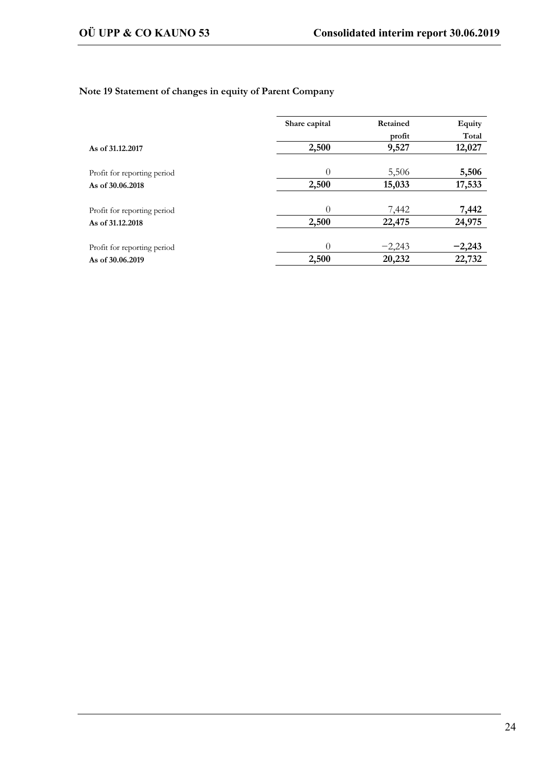## **Note 19 Statement of changes in equity of Parent Company**

|                             | Share capital | Retained | Equity   |  |  |
|-----------------------------|---------------|----------|----------|--|--|
|                             |               | profit   | Total    |  |  |
| As of 31.12.2017            | 2,500         | 9,527    | 12,027   |  |  |
|                             |               |          |          |  |  |
| Profit for reporting period | $\Omega$      | 5,506    | 5,506    |  |  |
| As of 30,06,2018            | 2,500         | 15,033   | 17,533   |  |  |
| Profit for reporting period | $\theta$      | 7,442    | 7,442    |  |  |
| As of 31,12,2018            | 2,500         | 22,475   | 24,975   |  |  |
| Profit for reporting period | $\Omega$      | $-2,243$ | $-2,243$ |  |  |
| As of 30,06,2019            | 2,500         | 20,232   | 22,732   |  |  |